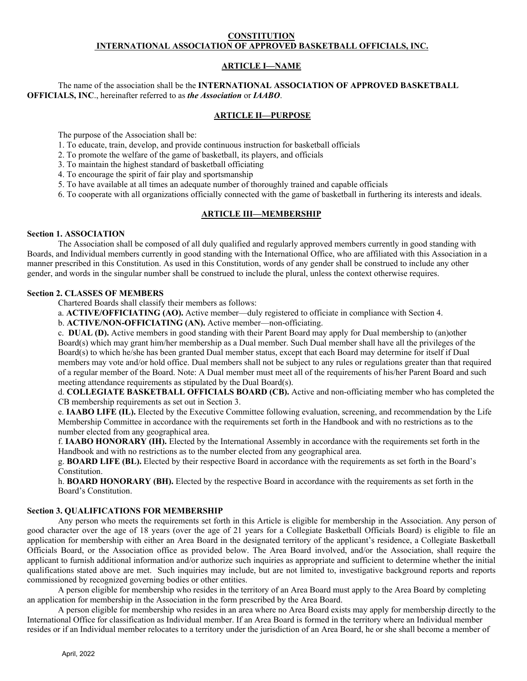### **CONSTITUTION INTERNATIONAL ASSOCIATION OF APPROVED BASKETBALL OFFICIALS, INC.**

# **ARTICLE I—NAME**

# The name of the association shall be the **INTERNATIONAL ASSOCIATION OF APPROVED BASKETBALL OFFICIALS, INC**., hereinafter referred to as *the Association* or *IAABO*.

## **ARTICLE II—PURPOSE**

The purpose of the Association shall be:

- 1. To educate, train, develop, and provide continuous instruction for basketball officials
- 2. To promote the welfare of the game of basketball, its players, and officials
- 3. To maintain the highest standard of basketball officiating
- 4. To encourage the spirit of fair play and sportsmanship
- 5. To have available at all times an adequate number of thoroughly trained and capable officials
- 6. To cooperate with all organizations officially connected with the game of basketball in furthering its interests and ideals.

## **ARTICLE III—MEMBERSHIP**

### **Section 1. ASSOCIATION**

 The Association shall be composed of all duly qualified and regularly approved members currently in good standing with Boards, and Individual members currently in good standing with the International Office, who are affiliated with this Association in a manner prescribed in this Constitution. As used in this Constitution, words of any gender shall be construed to include any other gender, and words in the singular number shall be construed to include the plural, unless the context otherwise requires.

## **Section 2. CLASSES OF MEMBERS**

Chartered Boards shall classify their members as follows:

a. **ACTIVE/OFFICIATING (AO).** Active member—duly registered to officiate in compliance with Section 4.

b. **ACTIVE/NON-OFFICIATING (AN).** Active member—non-officiating.

c. **DUAL (D).** Active members in good standing with their Parent Board may apply for Dual membership to (an)other Board(s) which may grant him/her membership as a Dual member. Such Dual member shall have all the privileges of the Board(s) to which he/she has been granted Dual member status, except that each Board may determine for itself if Dual members may vote and/or hold office. Dual members shall not be subject to any rules or regulations greater than that required of a regular member of the Board. Note: A Dual member must meet all of the requirements of his/her Parent Board and such meeting attendance requirements as stipulated by the Dual Board(s).

d. **COLLEGIATE BASKETBALL OFFICIALS BOARD (CB).** Active and non-officiating member who has completed the CB membership requirements as set out in Section 3.

e. **IAABO LIFE (IL).** Elected by the Executive Committee following evaluation, screening, and recommendation by the Life Membership Committee in accordance with the requirements set forth in the Handbook and with no restrictions as to the number elected from any geographical area.

f. **IAABO HONORARY (IH).** Elected by the International Assembly in accordance with the requirements set forth in the Handbook and with no restrictions as to the number elected from any geographical area.

g. **BOARD LIFE (BL).** Elected by their respective Board in accordance with the requirements as set forth in the Board's Constitution.

 h. **BOARD HONORARY (BH).** Elected by the respective Board in accordance with the requirements as set forth in the Board's Constitution.

# **Section 3. QUALIFICATIONS FOR MEMBERSHIP**

Any person who meets the requirements set forth in this Article is eligible for membership in the Association. Any person of good character over the age of 18 years (over the age of 21 years for a Collegiate Basketball Officials Board) is eligible to file an application for membership with either an Area Board in the designated territory of the applicant's residence, a Collegiate Basketball Officials Board, or the Association office as provided below. The Area Board involved, and/or the Association, shall require the applicant to furnish additional information and/or authorize such inquiries as appropriate and sufficient to determine whether the initial qualifications stated above are met. Such inquiries may include, but are not limited to, investigative background reports and reports commissioned by recognized governing bodies or other entities.

 A person eligible for membership who resides in the territory of an Area Board must apply to the Area Board by completing an application for membership in the Association in the form prescribed by the Area Board.

A person eligible for membership who resides in an area where no Area Board exists may apply for membership directly to the International Office for classification as Individual member. If an Area Board is formed in the territory where an Individual member resides or if an Individual member relocates to a territory under the jurisdiction of an Area Board, he or she shall become a member of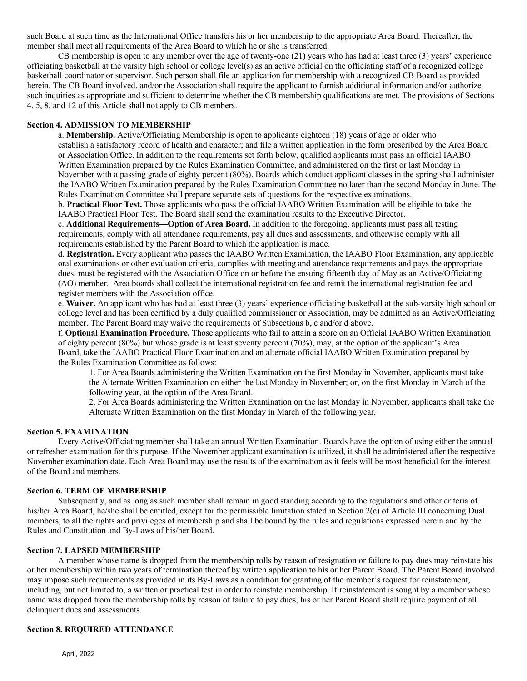such Board at such time as the International Office transfers his or her membership to the appropriate Area Board. Thereafter, the member shall meet all requirements of the Area Board to which he or she is transferred.

 CB membership is open to any member over the age of twenty-one (21) years who has had at least three (3) years' experience officiating basketball at the varsity high school or college level(s) as an active official on the officiating staff of a recognized college basketball coordinator or supervisor. Such person shall file an application for membership with a recognized CB Board as provided herein. The CB Board involved, and/or the Association shall require the applicant to furnish additional information and/or authorize such inquiries as appropriate and sufficient to determine whether the CB membership qualifications are met. The provisions of Sections 4, 5, 8, and 12 of this Article shall not apply to CB members.

# **Section 4. ADMISSION TO MEMBERSHIP**

a. **Membership.** Active/Officiating Membership is open to applicants eighteen (18) years of age or older who establish a satisfactory record of health and character; and file a written application in the form prescribed by the Area Board or Association Office. In addition to the requirements set forth below, qualified applicants must pass an official IAABO Written Examination prepared by the Rules Examination Committee, and administered on the first or last Monday in November with a passing grade of eighty percent (80%). Boards which conduct applicant classes in the spring shall administer the IAABO Written Examination prepared by the Rules Examination Committee no later than the second Monday in June. The Rules Examination Committee shall prepare separate sets of questions for the respective examinations.

b. **Practical Floor Test.** Those applicants who pass the official IAABO Written Examination will be eligible to take the IAABO Practical Floor Test. The Board shall send the examination results to the Executive Director.

c. **Additional Requirements—Option of Area Board.** In addition to the foregoing, applicants must pass all testing requirements, comply with all attendance requirements, pay all dues and assessments, and otherwise comply with all requirements established by the Parent Board to which the application is made.

d. **Registration.** Every applicant who passes the IAABO Written Examination, the IAABO Floor Examination, any applicable oral examinations or other evaluation criteria, complies with meeting and attendance requirements and pays the appropriate dues, must be registered with the Association Office on or before the ensuing fifteenth day of May as an Active/Officiating (AO) member. Area boards shall collect the international registration fee and remit the international registration fee and register members with the Association office.

e. **Waiver.** An applicant who has had at least three (3) years' experience officiating basketball at the sub-varsity high school or college level and has been certified by a duly qualified commissioner or Association, may be admitted as an Active/Officiating member. The Parent Board may waive the requirements of Subsections b, c and/or d above.

f. **Optional Examination Procedure.** Those applicants who fail to attain a score on an Official IAABO Written Examination of eighty percent (80%) but whose grade is at least seventy percent (70%), may, at the option of the applicant's Area Board, take the IAABO Practical Floor Examination and an alternate official IAABO Written Examination prepared by the Rules Examination Committee as follows:

 1. For Area Boards administering the Written Examination on the first Monday in November, applicants must take the Alternate Written Examination on either the last Monday in November; or, on the first Monday in March of the following year, at the option of the Area Board.

2. For Area Boards administering the Written Examination on the last Monday in November, applicants shall take the Alternate Written Examination on the first Monday in March of the following year.

## **Section 5. EXAMINATION**

 Every Active/Officiating member shall take an annual Written Examination. Boards have the option of using either the annual or refresher examination for this purpose. If the November applicant examination is utilized, it shall be administered after the respective November examination date. Each Area Board may use the results of the examination as it feels will be most beneficial for the interest of the Board and members.

#### **Section 6. TERM OF MEMBERSHIP**

 Subsequently, and as long as such member shall remain in good standing according to the regulations and other criteria of his/her Area Board, he/she shall be entitled, except for the permissible limitation stated in Section 2(c) of Article III concerning Dual members, to all the rights and privileges of membership and shall be bound by the rules and regulations expressed herein and by the Rules and Constitution and By-Laws of his/her Board.

### **Section 7. LAPSED MEMBERSHIP**

 A member whose name is dropped from the membership rolls by reason of resignation or failure to pay dues may reinstate his or her membership within two years of termination thereof by written application to his or her Parent Board. The Parent Board involved may impose such requirements as provided in its By-Laws as a condition for granting of the member's request for reinstatement, including, but not limited to, a written or practical test in order to reinstate membership. If reinstatement is sought by a member whose name was dropped from the membership rolls by reason of failure to pay dues, his or her Parent Board shall require payment of all delinquent dues and assessments.

## **Section 8. REQUIRED ATTENDANCE**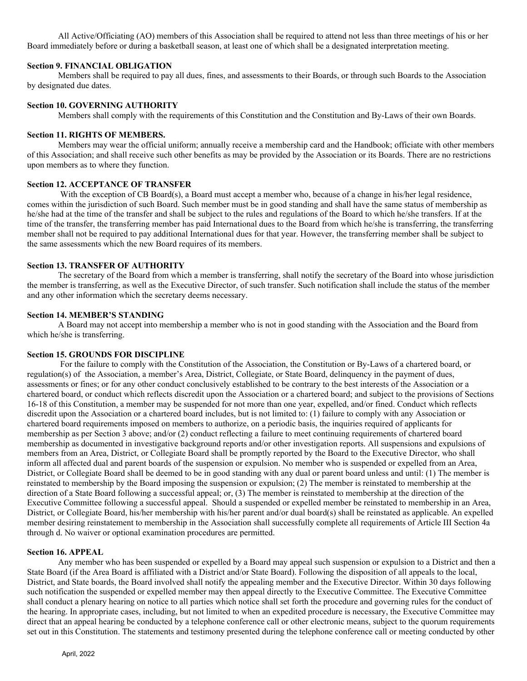All Active/Officiating (AO) members of this Association shall be required to attend not less than three meetings of his or her Board immediately before or during a basketball season, at least one of which shall be a designated interpretation meeting.

### **Section 9. FINANCIAL OBLIGATION**

 Members shall be required to pay all dues, fines, and assessments to their Boards, or through such Boards to the Association by designated due dates.

# **Section 10. GOVERNING AUTHORITY**

Members shall comply with the requirements of this Constitution and the Constitution and By-Laws of their own Boards.

# **Section 11. RIGHTS OF MEMBERS.**

 Members may wear the official uniform; annually receive a membership card and the Handbook; officiate with other members of this Association; and shall receive such other benefits as may be provided by the Association or its Boards. There are no restrictions upon members as to where they function.

## **Section 12. ACCEPTANCE OF TRANSFER**

With the exception of CB Board(s), a Board must accept a member who, because of a change in his/her legal residence, comes within the jurisdiction of such Board. Such member must be in good standing and shall have the same status of membership as he/she had at the time of the transfer and shall be subject to the rules and regulations of the Board to which he/she transfers. If at the time of the transfer, the transferring member has paid International dues to the Board from which he/she is transferring, the transferring member shall not be required to pay additional International dues for that year. However, the transferring member shall be subject to the same assessments which the new Board requires of its members.

## **Section 13. TRANSFER OF AUTHORITY**

 The secretary of the Board from which a member is transferring, shall notify the secretary of the Board into whose jurisdiction the member is transferring, as well as the Executive Director, of such transfer. Such notification shall include the status of the member and any other information which the secretary deems necessary.

## **Section 14. MEMBER'S STANDING**

 A Board may not accept into membership a member who is not in good standing with the Association and the Board from which he/she is transferring.

### **Section 15. GROUNDS FOR DISCIPLINE**

 For the failure to comply with the Constitution of the Association, the Constitution or By-Laws of a chartered board, or regulation(s) of the Association, a member's Area, District, Collegiate, or State Board, delinquency in the payment of dues, assessments or fines; or for any other conduct conclusively established to be contrary to the best interests of the Association or a chartered board, or conduct which reflects discredit upon the Association or a chartered board; and subject to the provisions of Sections 16-18 of this Constitution, a member may be suspended for not more than one year, expelled, and/or fined. Conduct which reflects discredit upon the Association or a chartered board includes, but is not limited to: (1) failure to comply with any Association or chartered board requirements imposed on members to authorize, on a periodic basis, the inquiries required of applicants for membership as per Section 3 above; and/or (2) conduct reflecting a failure to meet continuing requirements of chartered board membership as documented in investigative background reports and/or other investigation reports. All suspensions and expulsions of members from an Area, District, or Collegiate Board shall be promptly reported by the Board to the Executive Director, who shall inform all affected dual and parent boards of the suspension or expulsion. No member who is suspended or expelled from an Area, District, or Collegiate Board shall be deemed to be in good standing with any dual or parent board unless and until: (1) The member is reinstated to membership by the Board imposing the suspension or expulsion; (2) The member is reinstated to membership at the direction of a State Board following a successful appeal; or, (3) The member is reinstated to membership at the direction of the Executive Committee following a successful appeal. Should a suspended or expelled member be reinstated to membership in an Area, District, or Collegiate Board, his/her membership with his/her parent and/or dual board(s) shall be reinstated as applicable. An expelled member desiring reinstatement to membership in the Association shall successfully complete all requirements of Article III Section 4a through d. No waiver or optional examination procedures are permitted.

### **Section 16. APPEAL**

 Any member who has been suspended or expelled by a Board may appeal such suspension or expulsion to a District and then a State Board (if the Area Board is affiliated with a District and/or State Board). Following the disposition of all appeals to the local, District, and State boards, the Board involved shall notify the appealing member and the Executive Director. Within 30 days following such notification the suspended or expelled member may then appeal directly to the Executive Committee. The Executive Committee shall conduct a plenary hearing on notice to all parties which notice shall set forth the procedure and governing rules for the conduct of the hearing. In appropriate cases, including, but not limited to when an expedited procedure is necessary, the Executive Committee may direct that an appeal hearing be conducted by a telephone conference call or other electronic means, subject to the quorum requirements set out in this Constitution. The statements and testimony presented during the telephone conference call or meeting conducted by other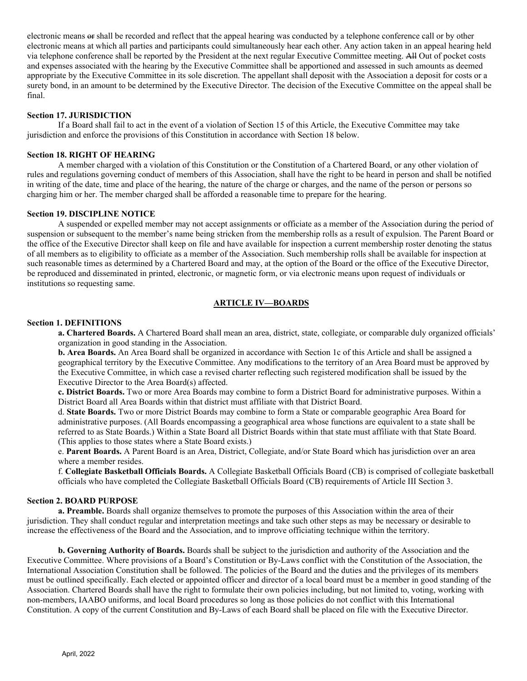electronic means or shall be recorded and reflect that the appeal hearing was conducted by a telephone conference call or by other electronic means at which all parties and participants could simultaneously hear each other. Any action taken in an appeal hearing held via telephone conference shall be reported by the President at the next regular Executive Committee meeting. All Out of pocket costs and expenses associated with the hearing by the Executive Committee shall be apportioned and assessed in such amounts as deemed appropriate by the Executive Committee in its sole discretion. The appellant shall deposit with the Association a deposit for costs or a surety bond, in an amount to be determined by the Executive Director. The decision of the Executive Committee on the appeal shall be final.

## **Section 17. JURISDICTION**

 If a Board shall fail to act in the event of a violation of Section 15 of this Article, the Executive Committee may take jurisdiction and enforce the provisions of this Constitution in accordance with Section 18 below.

### **Section 18. RIGHT OF HEARING**

 A member charged with a violation of this Constitution or the Constitution of a Chartered Board, or any other violation of rules and regulations governing conduct of members of this Association, shall have the right to be heard in person and shall be notified in writing of the date, time and place of the hearing, the nature of the charge or charges, and the name of the person or persons so charging him or her. The member charged shall be afforded a reasonable time to prepare for the hearing.

## **Section 19. DISCIPLINE NOTICE**

 A suspended or expelled member may not accept assignments or officiate as a member of the Association during the period of suspension or subsequent to the member's name being stricken from the membership rolls as a result of expulsion. The Parent Board or the office of the Executive Director shall keep on file and have available for inspection a current membership roster denoting the status of all members as to eligibility to officiate as a member of the Association. Such membership rolls shall be available for inspection at such reasonable times as determined by a Chartered Board and may, at the option of the Board or the office of the Executive Director, be reproduced and disseminated in printed, electronic, or magnetic form, or via electronic means upon request of individuals or institutions so requesting same.

# **ARTICLE IV—BOARDS**

### **Section 1. DEFINITIONS**

 **a. Chartered Boards.** A Chartered Board shall mean an area, district, state, collegiate, or comparable duly organized officials' organization in good standing in the Association.

 **b. Area Boards.** An Area Board shall be organized in accordance with Section 1c of this Article and shall be assigned a geographical territory by the Executive Committee. Any modifications to the territory of an Area Board must be approved by the Executive Committee, in which case a revised charter reflecting such registered modification shall be issued by the Executive Director to the Area Board(s) affected.

**c. District Boards.** Two or more Area Boards may combine to form a District Board for administrative purposes. Within a District Board all Area Boards within that district must affiliate with that District Board.

 d. **State Boards.** Two or more District Boards may combine to form a State or comparable geographic Area Board for administrative purposes. (All Boards encompassing a geographical area whose functions are equivalent to a state shall be referred to as State Boards.) Within a State Board all District Boards within that state must affiliate with that State Board. (This applies to those states where a State Board exists.)

 e. **Parent Boards.** A Parent Board is an Area, District, Collegiate, and/or State Board which has jurisdiction over an area where a member resides.

 f. **Collegiate Basketball Officials Boards.** A Collegiate Basketball Officials Board (CB) is comprised of collegiate basketball officials who have completed the Collegiate Basketball Officials Board (CB) requirements of Article III Section 3.

### **Section 2. BOARD PURPOSE**

 **a. Preamble.** Boards shall organize themselves to promote the purposes of this Association within the area of their jurisdiction. They shall conduct regular and interpretation meetings and take such other steps as may be necessary or desirable to increase the effectiveness of the Board and the Association, and to improve officiating technique within the territory.

 **b. Governing Authority of Boards.** Boards shall be subject to the jurisdiction and authority of the Association and the Executive Committee. Where provisions of a Board's Constitution or By-Laws conflict with the Constitution of the Association, the International Association Constitution shall be followed. The policies of the Board and the duties and the privileges of its members must be outlined specifically. Each elected or appointed officer and director of a local board must be a member in good standing of the Association. Chartered Boards shall have the right to formulate their own policies including, but not limited to, voting, working with non-members, IAABO uniforms, and local Board procedures so long as those policies do not conflict with this International Constitution. A copy of the current Constitution and By-Laws of each Board shall be placed on file with the Executive Director.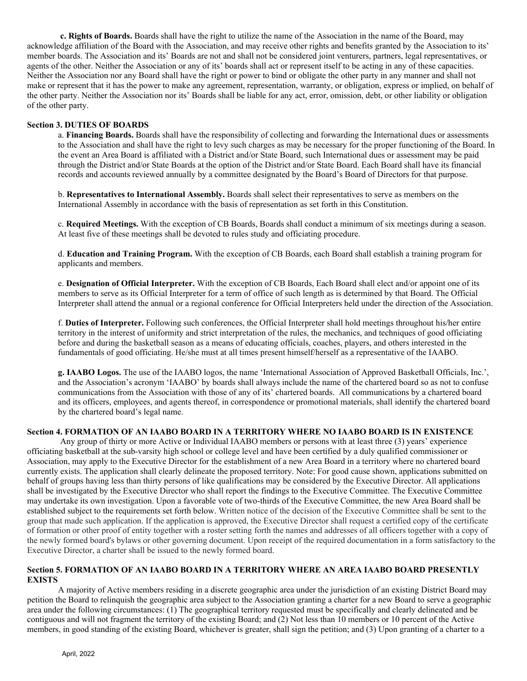**c. Rights of Boards.** Boards shall have the right to utilize the name of the Association in the name of the Board, may acknowledge affiliation of the Board with the Association, and may receive other rights and benefits granted by the Association to its' member boards. The Association and its' Boards are not and shall not be considered joint venturers, partners, legal representatives, or agents of the other. Neither the Association or any of its' boards shall act or represent itself to be acting in any of these capacities. Neither the Association nor any Board shall have the right or power to bind or obligate the other party in any manner and shall not make or represent that it has the power to make any agreement, representation, warranty, or obligation, express or implied, on behalf of the other party. Neither the Association nor its' Boards shall be liable for any act, error, omission, debt, or other liability or obligation of the other party.

# **Section 3. DUTIES OF BOARDS**

a. **Financing Boards.** Boards shall have the responsibility of collecting and forwarding the International dues or assessments to the Association and shall have the right to levy such charges as may be necessary for the proper functioning of the Board. In the event an Area Board is affiliated with a District and/or State Board, such International dues or assessment may be paid through the District and/or State Boards at the option of the District and/or State Board. Each Board shall have its financial records and accounts reviewed annually by a committee designated by the Board's Board of Directors for that purpose.

b. **Representatives to International Assembly.** Boards shall select their representatives to serve as members on the International Assembly in accordance with the basis of representation as set forth in this Constitution.

c. **Required Meetings.** With the exception of CB Boards, Boards shall conduct a minimum of six meetings during a season. At least five of these meetings shall be devoted to rules study and officiating procedure.

d. **Education and Training Program.** With the exception of CB Boards, each Board shall establish a training program for applicants and members.

e. **Designation of Official Interpreter.** With the exception of CB Boards, Each Board shall elect and/or appoint one of its members to serve as its Official Interpreter for a term of office of such length as is determined by that Board. The Official Interpreter shall attend the annual or a regional conference for Official Interpreters held under the direction of the Association.

f. **Duties of Interpreter.** Following such conferences, the Official Interpreter shall hold meetings throughout his/her entire territory in the interest of uniformity and strict interpretation of the rules, the mechanics, and techniques of good officiating before and during the basketball season as a means of educating officials, coaches, players, and others interested in the fundamentals of good officiating. He/she must at all times present himself/herself as a representative of the IAABO.

**g. IAABO Logos.** The use of the IAABO logos, the name 'International Association of Approved Basketball Officials, Inc.', and the Association's acronym 'IAABO' by boards shall always include the name of the chartered board so as not to confuse communications from the Association with those of any of its' chartered boards. All communications by a chartered board and its officers, employees, and agents thereof, in correspondence or promotional materials, shall identify the chartered board by the chartered board's legal name.

## **Section 4. FORMATION OF AN IAABO BOARD IN A TERRITORY WHERE NO IAABO BOARD IS IN EXISTENCE**

 Any group of thirty or more Active or Individual IAABO members or persons with at least three (3) years' experience officiating basketball at the sub-varsity high school or college level and have been certified by a duly qualified commissioner or Association, may apply to the Executive Director for the establishment of a new Area Board in a territory where no chartered board currently exists. The application shall clearly delineate the proposed territory. Note: For good cause shown, applications submitted on behalf of groups having less than thirty persons of like qualifications may be considered by the Executive Director. All applications shall be investigated by the Executive Director who shall report the findings to the Executive Committee. The Executive Committee may undertake its own investigation. Upon a favorable vote of two-thirds of the Executive Committee, the new Area Board shall be established subject to the requirements set forth below. Written notice of the decision of the Executive Committee shall be sent to the group that made such application. If the application is approved, the Executive Director shall request a certified copy of the certificate of formation or other proof of entity together with a roster setting forth the names and addresses of all officers together with a copy of the newly formed board's bylaws or other governing document. Upon receipt of the required documentation in a form satisfactory to the Executive Director, a charter shall be issued to the newly formed board.

### **Section 5. FORMATION OF AN IAABO BOARD IN A TERRITORY WHERE AN AREA IAABO BOARD PRESENTLY EXISTS**

 A majority of Active members residing in a discrete geographic area under the jurisdiction of an existing District Board may petition the Board to relinquish the geographic area subject to the Association granting a charter for a new Board to serve a geographic area under the following circumstances: (1) The geographical territory requested must be specifically and clearly delineated and be contiguous and will not fragment the territory of the existing Board; and (2) Not less than 10 members or 10 percent of the Active members, in good standing of the existing Board, whichever is greater, shall sign the petition; and (3) Upon granting of a charter to a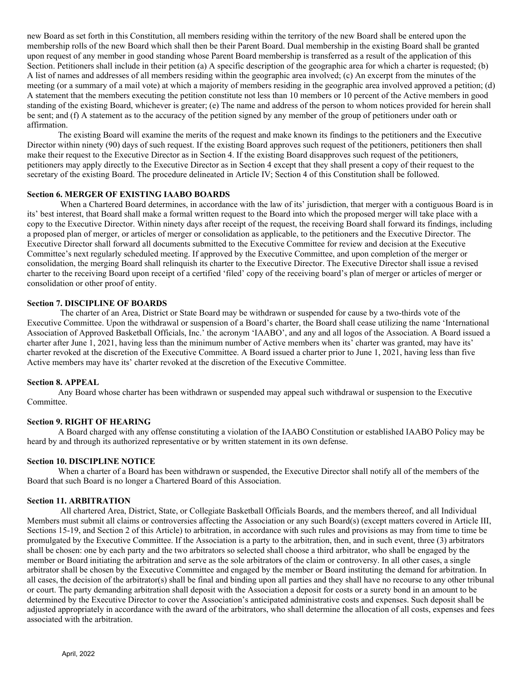new Board as set forth in this Constitution, all members residing within the territory of the new Board shall be entered upon the membership rolls of the new Board which shall then be their Parent Board. Dual membership in the existing Board shall be granted upon request of any member in good standing whose Parent Board membership is transferred as a result of the application of this Section. Petitioners shall include in their petition (a) A specific description of the geographic area for which a charter is requested; (b) A list of names and addresses of all members residing within the geographic area involved; (c) An excerpt from the minutes of the meeting (or a summary of a mail vote) at which a majority of members residing in the geographic area involved approved a petition; (d) A statement that the members executing the petition constitute not less than 10 members or 10 percent of the Active members in good standing of the existing Board, whichever is greater; (e) The name and address of the person to whom notices provided for herein shall be sent; and (f) A statement as to the accuracy of the petition signed by any member of the group of petitioners under oath or affirmation.

 The existing Board will examine the merits of the request and make known its findings to the petitioners and the Executive Director within ninety (90) days of such request. If the existing Board approves such request of the petitioners, petitioners then shall make their request to the Executive Director as in Section 4. If the existing Board disapproves such request of the petitioners, petitioners may apply directly to the Executive Director as in Section 4 except that they shall present a copy of their request to the secretary of the existing Board. The procedure delineated in Article IV; Section 4 of this Constitution shall be followed.

# **Section 6. MERGER OF EXISTING IAABO BOARDS**

When a Chartered Board determines, in accordance with the law of its' jurisdiction, that merger with a contiguous Board is in its' best interest, that Board shall make a formal written request to the Board into which the proposed merger will take place with a copy to the Executive Director. Within ninety days after receipt of the request, the receiving Board shall forward its findings, including a proposed plan of merger, or articles of merger or consolidation as applicable, to the petitioners and the Executive Director. The Executive Director shall forward all documents submitted to the Executive Committee for review and decision at the Executive Committee's next regularly scheduled meeting. If approved by the Executive Committee, and upon completion of the merger or consolidation, the merging Board shall relinquish its charter to the Executive Director. The Executive Director shall issue a revised charter to the receiving Board upon receipt of a certified 'filed' copy of the receiving board's plan of merger or articles of merger or consolidation or other proof of entity.

# **Section 7. DISCIPLINE OF BOARDS**

 The charter of an Area, District or State Board may be withdrawn or suspended for cause by a two-thirds vote of the Executive Committee. Upon the withdrawal or suspension of a Board's charter, the Board shall cease utilizing the name 'International Association of Approved Basketball Officials, Inc.' the acronym 'IAABO', and any and all logos of the Association. A Board issued a charter after June 1, 2021, having less than the minimum number of Active members when its' charter was granted, may have its' charter revoked at the discretion of the Executive Committee. A Board issued a charter prior to June 1, 2021, having less than five Active members may have its' charter revoked at the discretion of the Executive Committee.

#### **Section 8. APPEAL**

 Any Board whose charter has been withdrawn or suspended may appeal such withdrawal or suspension to the Executive Committee.

#### **Section 9. RIGHT OF HEARING**

A Board charged with any offense constituting a violation of the IAABO Constitution or established IAABO Policy may be heard by and through its authorized representative or by written statement in its own defense.

### **Section 10. DISCIPLINE NOTICE**

 When a charter of a Board has been withdrawn or suspended, the Executive Director shall notify all of the members of the Board that such Board is no longer a Chartered Board of this Association.

#### **Section 11. ARBITRATION**

 All chartered Area, District, State, or Collegiate Basketball Officials Boards, and the members thereof, and all Individual Members must submit all claims or controversies affecting the Association or any such Board(s) (except matters covered in Article III, Sections 15-19, and Section 2 of this Article) to arbitration, in accordance with such rules and provisions as may from time to time be promulgated by the Executive Committee. If the Association is a party to the arbitration, then, and in such event, three (3) arbitrators shall be chosen: one by each party and the two arbitrators so selected shall choose a third arbitrator, who shall be engaged by the member or Board initiating the arbitration and serve as the sole arbitrators of the claim or controversy. In all other cases, a single arbitrator shall be chosen by the Executive Committee and engaged by the member or Board instituting the demand for arbitration. In all cases, the decision of the arbitrator(s) shall be final and binding upon all parties and they shall have no recourse to any other tribunal or court. The party demanding arbitration shall deposit with the Association a deposit for costs or a surety bond in an amount to be determined by the Executive Director to cover the Association's anticipated administrative costs and expenses. Such deposit shall be adjusted appropriately in accordance with the award of the arbitrators, who shall determine the allocation of all costs, expenses and fees associated with the arbitration.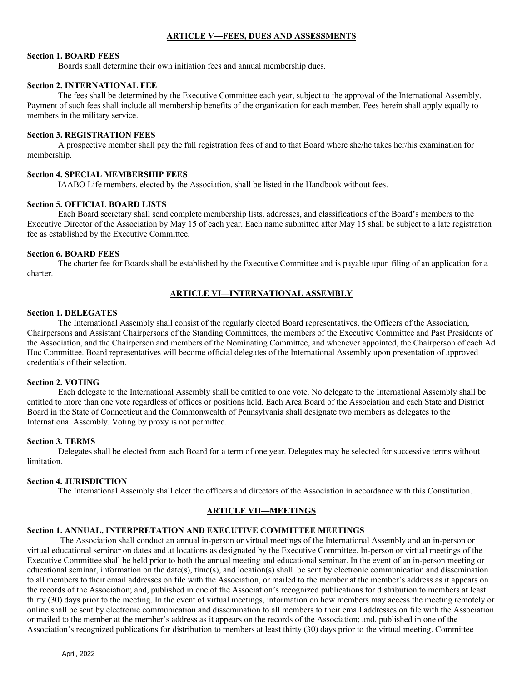# **ARTICLE V—FEES, DUES AND ASSESSMENTS**

### **Section 1. BOARD FEES**

Boards shall determine their own initiation fees and annual membership dues.

## **Section 2. INTERNATIONAL FEE**

 The fees shall be determined by the Executive Committee each year, subject to the approval of the International Assembly. Payment of such fees shall include all membership benefits of the organization for each member. Fees herein shall apply equally to members in the military service.

### **Section 3. REGISTRATION FEES**

 A prospective member shall pay the full registration fees of and to that Board where she/he takes her/his examination for membership.

## **Section 4. SPECIAL MEMBERSHIP FEES**

IAABO Life members, elected by the Association, shall be listed in the Handbook without fees.

## **Section 5. OFFICIAL BOARD LISTS**

 Each Board secretary shall send complete membership lists, addresses, and classifications of the Board's members to the Executive Director of the Association by May 15 of each year. Each name submitted after May 15 shall be subject to a late registration fee as established by the Executive Committee.

### **Section 6. BOARD FEES**

 The charter fee for Boards shall be established by the Executive Committee and is payable upon filing of an application for a charter.

# **ARTICLE VI—INTERNATIONAL ASSEMBLY**

## **Section 1. DELEGATES**

 The International Assembly shall consist of the regularly elected Board representatives, the Officers of the Association, Chairpersons and Assistant Chairpersons of the Standing Committees, the members of the Executive Committee and Past Presidents of the Association, and the Chairperson and members of the Nominating Committee, and whenever appointed, the Chairperson of each Ad Hoc Committee. Board representatives will become official delegates of the International Assembly upon presentation of approved credentials of their selection.

### **Section 2. VOTING**

 Each delegate to the International Assembly shall be entitled to one vote. No delegate to the International Assembly shall be entitled to more than one vote regardless of offices or positions held. Each Area Board of the Association and each State and District Board in the State of Connecticut and the Commonwealth of Pennsylvania shall designate two members as delegates to the International Assembly. Voting by proxy is not permitted.

### **Section 3. TERMS**

 Delegates shall be elected from each Board for a term of one year. Delegates may be selected for successive terms without limitation.

### **Section 4. JURISDICTION**

The International Assembly shall elect the officers and directors of the Association in accordance with this Constitution.

# **ARTICLE VII—MEETINGS**

# **Section 1. ANNUAL, INTERPRETATION AND EXECUTIVE COMMITTEE MEETINGS**

 The Association shall conduct an annual in-person or virtual meetings of the International Assembly and an in-person or virtual educational seminar on dates and at locations as designated by the Executive Committee. In-person or virtual meetings of the Executive Committee shall be held prior to both the annual meeting and educational seminar. In the event of an in-person meeting or educational seminar, information on the date(s), time(s), and location(s) shall be sent by electronic communication and dissemination to all members to their email addresses on file with the Association, or mailed to the member at the member's address as it appears on the records of the Association; and, published in one of the Association's recognized publications for distribution to members at least thirty (30) days prior to the meeting. In the event of virtual meetings, information on how members may access the meeting remotely or online shall be sent by electronic communication and dissemination to all members to their email addresses on file with the Association or mailed to the member at the member's address as it appears on the records of the Association; and, published in one of the Association's recognized publications for distribution to members at least thirty (30) days prior to the virtual meeting. Committee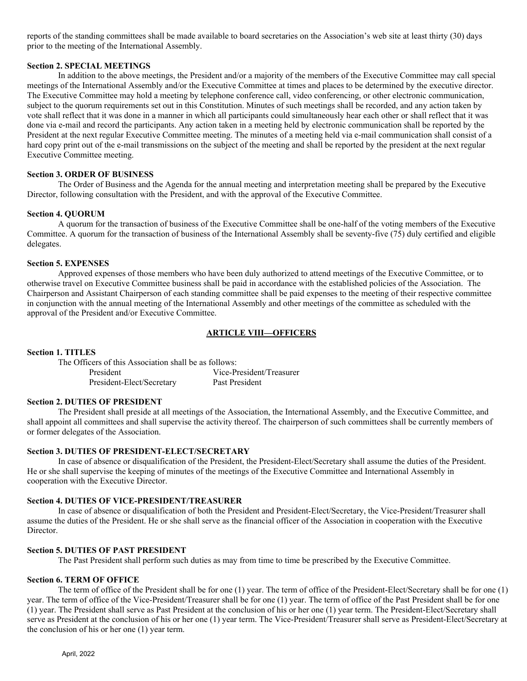reports of the standing committees shall be made available to board secretaries on the Association's web site at least thirty (30) days prior to the meeting of the International Assembly.

### **Section 2. SPECIAL MEETINGS**

 In addition to the above meetings, the President and/or a majority of the members of the Executive Committee may call special meetings of the International Assembly and/or the Executive Committee at times and places to be determined by the executive director. The Executive Committee may hold a meeting by telephone conference call, video conferencing, or other electronic communication, subject to the quorum requirements set out in this Constitution. Minutes of such meetings shall be recorded, and any action taken by vote shall reflect that it was done in a manner in which all participants could simultaneously hear each other or shall reflect that it was done via e-mail and record the participants. Any action taken in a meeting held by electronic communication shall be reported by the President at the next regular Executive Committee meeting. The minutes of a meeting held via e-mail communication shall consist of a hard copy print out of the e-mail transmissions on the subject of the meeting and shall be reported by the president at the next regular Executive Committee meeting.

## **Section 3. ORDER OF BUSINESS**

 The Order of Business and the Agenda for the annual meeting and interpretation meeting shall be prepared by the Executive Director, following consultation with the President, and with the approval of the Executive Committee.

## **Section 4. QUORUM**

 A quorum for the transaction of business of the Executive Committee shall be one-half of the voting members of the Executive Committee. A quorum for the transaction of business of the International Assembly shall be seventy-five (75) duly certified and eligible delegates.

## **Section 5. EXPENSES**

 Approved expenses of those members who have been duly authorized to attend meetings of the Executive Committee, or to otherwise travel on Executive Committee business shall be paid in accordance with the established policies of the Association. The Chairperson and Assistant Chairperson of each standing committee shall be paid expenses to the meeting of their respective committee in conjunction with the annual meeting of the International Assembly and other meetings of the committee as scheduled with the approval of the President and/or Executive Committee.

# **ARTICLE VIII—OFFICERS**

# **Section 1. TITLES**

 The Officers of this Association shall be as follows: President Vice-President/Treasurer President-Elect/Secretary Past President

# **Section 2. DUTIES OF PRESIDENT**

 The President shall preside at all meetings of the Association, the International Assembly, and the Executive Committee, and shall appoint all committees and shall supervise the activity thereof. The chairperson of such committees shall be currently members of or former delegates of the Association.

# **Section 3. DUTIES OF PRESIDENT-ELECT/SECRETARY**

 In case of absence or disqualification of the President, the President-Elect/Secretary shall assume the duties of the President. He or she shall supervise the keeping of minutes of the meetings of the Executive Committee and International Assembly in cooperation with the Executive Director.

### **Section 4. DUTIES OF VICE-PRESIDENT/TREASURER**

 In case of absence or disqualification of both the President and President-Elect/Secretary, the Vice-President/Treasurer shall assume the duties of the President. He or she shall serve as the financial officer of the Association in cooperation with the Executive Director.

# **Section 5. DUTIES OF PAST PRESIDENT**

The Past President shall perform such duties as may from time to time be prescribed by the Executive Committee.

# **Section 6. TERM OF OFFICE**

 The term of office of the President shall be for one (1) year. The term of office of the President-Elect/Secretary shall be for one (1) year. The term of office of the Vice-President/Treasurer shall be for one (1) year. The term of office of the Past President shall be for one (1) year. The President shall serve as Past President at the conclusion of his or her one (1) year term. The President-Elect/Secretary shall serve as President at the conclusion of his or her one (1) year term. The Vice-President/Treasurer shall serve as President-Elect/Secretary at the conclusion of his or her one (1) year term.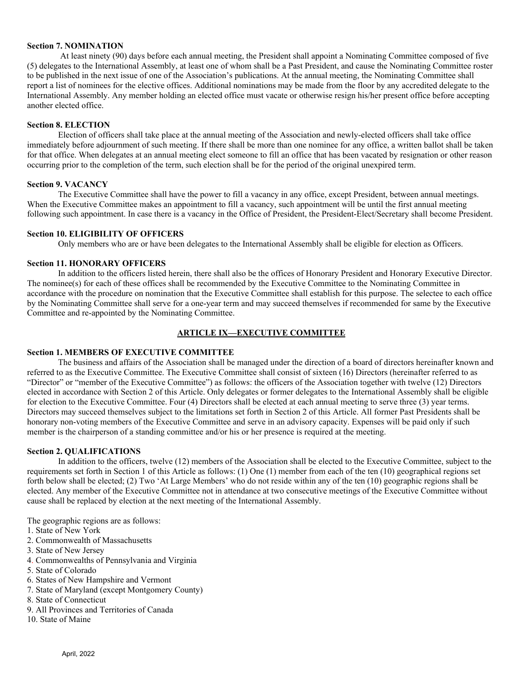## **Section 7. NOMINATION**

 At least ninety (90) days before each annual meeting, the President shall appoint a Nominating Committee composed of five (5) delegates to the International Assembly, at least one of whom shall be a Past President, and cause the Nominating Committee roster to be published in the next issue of one of the Association's publications. At the annual meeting, the Nominating Committee shall report a list of nominees for the elective offices. Additional nominations may be made from the floor by any accredited delegate to the International Assembly. Any member holding an elected office must vacate or otherwise resign his/her present office before accepting another elected office.

## **Section 8. ELECTION**

 Election of officers shall take place at the annual meeting of the Association and newly-elected officers shall take office immediately before adjournment of such meeting. If there shall be more than one nominee for any office, a written ballot shall be taken for that office. When delegates at an annual meeting elect someone to fill an office that has been vacated by resignation or other reason occurring prior to the completion of the term, such election shall be for the period of the original unexpired term.

# **Section 9. VACANCY**

 The Executive Committee shall have the power to fill a vacancy in any office, except President, between annual meetings. When the Executive Committee makes an appointment to fill a vacancy, such appointment will be until the first annual meeting following such appointment. In case there is a vacancy in the Office of President, the President-Elect/Secretary shall become President.

## **Section 10. ELIGIBILITY OF OFFICERS**

Only members who are or have been delegates to the International Assembly shall be eligible for election as Officers.

## **Section 11. HONORARY OFFICERS**

 In addition to the officers listed herein, there shall also be the offices of Honorary President and Honorary Executive Director. The nominee(s) for each of these offices shall be recommended by the Executive Committee to the Nominating Committee in accordance with the procedure on nomination that the Executive Committee shall establish for this purpose. The selectee to each office by the Nominating Committee shall serve for a one-year term and may succeed themselves if recommended for same by the Executive Committee and re-appointed by the Nominating Committee.

# **ARTICLE IX—EXECUTIVE COMMITTEE**

# **Section 1. MEMBERS OF EXECUTIVE COMMITTEE**

 The business and affairs of the Association shall be managed under the direction of a board of directors hereinafter known and referred to as the Executive Committee. The Executive Committee shall consist of sixteen (16) Directors (hereinafter referred to as "Director" or "member of the Executive Committee") as follows: the officers of the Association together with twelve (12) Directors elected in accordance with Section 2 of this Article. Only delegates or former delegates to the International Assembly shall be eligible for election to the Executive Committee. Four (4) Directors shall be elected at each annual meeting to serve three (3) year terms. Directors may succeed themselves subject to the limitations set forth in Section 2 of this Article. All former Past Presidents shall be honorary non-voting members of the Executive Committee and serve in an advisory capacity. Expenses will be paid only if such member is the chairperson of a standing committee and/or his or her presence is required at the meeting.

# **Section 2. QUALIFICATIONS**

 In addition to the officers, twelve (12) members of the Association shall be elected to the Executive Committee, subject to the requirements set forth in Section 1 of this Article as follows: (1) One (1) member from each of the ten (10) geographical regions set forth below shall be elected; (2) Two 'At Large Members' who do not reside within any of the ten (10) geographic regions shall be elected. Any member of the Executive Committee not in attendance at two consecutive meetings of the Executive Committee without cause shall be replaced by election at the next meeting of the International Assembly.

The geographic regions are as follows:

- 1. State of New York
- 2. Commonwealth of Massachusetts
- 3. State of New Jersey
- 4. Commonwealths of Pennsylvania and Virginia
- 5. State of Colorado
- 6. States of New Hampshire and Vermont
- 7. State of Maryland (except Montgomery County)
- 8. State of Connecticut
- 9. All Provinces and Territories of Canada
- 10. State of Maine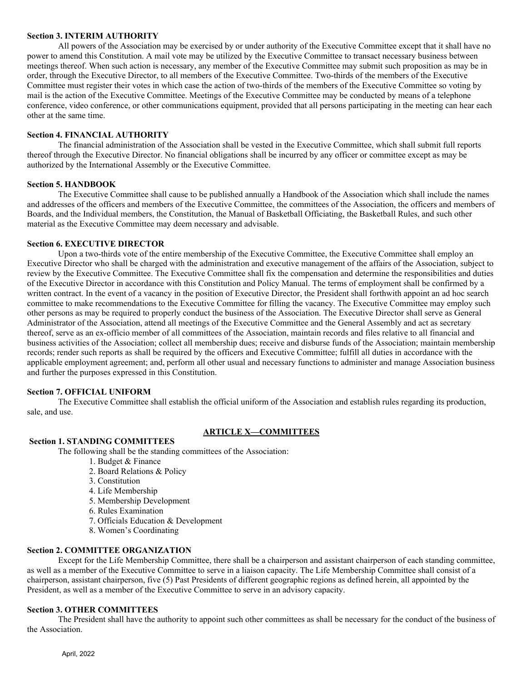## **Section 3. INTERIM AUTHORITY**

 All powers of the Association may be exercised by or under authority of the Executive Committee except that it shall have no power to amend this Constitution. A mail vote may be utilized by the Executive Committee to transact necessary business between meetings thereof. When such action is necessary, any member of the Executive Committee may submit such proposition as may be in order, through the Executive Director, to all members of the Executive Committee. Two-thirds of the members of the Executive Committee must register their votes in which case the action of two-thirds of the members of the Executive Committee so voting by mail is the action of the Executive Committee. Meetings of the Executive Committee may be conducted by means of a telephone conference, video conference, or other communications equipment, provided that all persons participating in the meeting can hear each other at the same time.

## **Section 4. FINANCIAL AUTHORITY**

 The financial administration of the Association shall be vested in the Executive Committee, which shall submit full reports thereof through the Executive Director. No financial obligations shall be incurred by any officer or committee except as may be authorized by the International Assembly or the Executive Committee.

## **Section 5. HANDBOOK**

 The Executive Committee shall cause to be published annually a Handbook of the Association which shall include the names and addresses of the officers and members of the Executive Committee, the committees of the Association, the officers and members of Boards, and the Individual members, the Constitution, the Manual of Basketball Officiating, the Basketball Rules, and such other material as the Executive Committee may deem necessary and advisable.

## **Section 6. EXECUTIVE DIRECTOR**

 Upon a two-thirds vote of the entire membership of the Executive Committee, the Executive Committee shall employ an Executive Director who shall be charged with the administration and executive management of the affairs of the Association, subject to review by the Executive Committee. The Executive Committee shall fix the compensation and determine the responsibilities and duties of the Executive Director in accordance with this Constitution and Policy Manual. The terms of employment shall be confirmed by a written contract. In the event of a vacancy in the position of Executive Director, the President shall forthwith appoint an ad hoc search committee to make recommendations to the Executive Committee for filling the vacancy. The Executive Committee may employ such other persons as may be required to properly conduct the business of the Association. The Executive Director shall serve as General Administrator of the Association, attend all meetings of the Executive Committee and the General Assembly and act as secretary thereof, serve as an ex-officio member of all committees of the Association, maintain records and files relative to all financial and business activities of the Association; collect all membership dues; receive and disburse funds of the Association; maintain membership records; render such reports as shall be required by the officers and Executive Committee; fulfill all duties in accordance with the applicable employment agreement; and, perform all other usual and necessary functions to administer and manage Association business and further the purposes expressed in this Constitution.

### **Section 7. OFFICIAL UNIFORM**

 The Executive Committee shall establish the official uniform of the Association and establish rules regarding its production, sale, and use.

# **ARTICLE X—COMMITTEES**

# **Section 1. STANDING COMMITTEES**

The following shall be the standing committees of the Association:

- 1. Budget & Finance
- 2. Board Relations & Policy
- 3. Constitution
- 4. Life Membership
- 5. Membership Development
- 6. Rules Examination
- 7. Officials Education & Development
- 8. Women's Coordinating

### **Section 2. COMMITTEE ORGANIZATION**

 Except for the Life Membership Committee, there shall be a chairperson and assistant chairperson of each standing committee, as well as a member of the Executive Committee to serve in a liaison capacity. The Life Membership Committee shall consist of a chairperson, assistant chairperson, five (5) Past Presidents of different geographic regions as defined herein, all appointed by the President, as well as a member of the Executive Committee to serve in an advisory capacity.

### **Section 3. OTHER COMMITTEES**

 The President shall have the authority to appoint such other committees as shall be necessary for the conduct of the business of the Association.